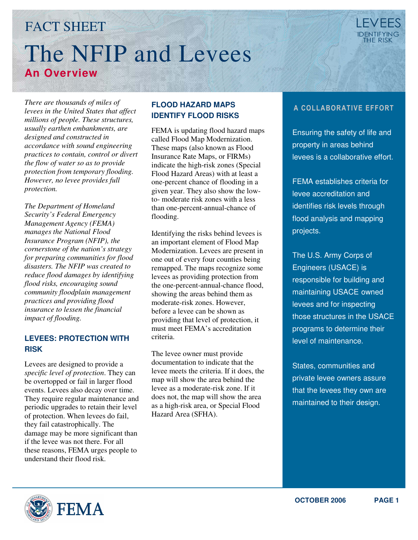# FACT SHEET The NFIP and Levees **An Overview**

*There are thousands of miles of levees in the United States that affect millions of people. These structures, usually earthen embankments, are designed and constructed in accordance with sound engineering practices to contain, control or divert the flow of water so as to provide protection from temporary flooding. However, no levee provides full protection.* 

*The Department of Homeland Security's Federal Emergency Management Agency (FEMA) manages the National Flood Insurance Program (NFIP), the cornerstone of the nation's strategy for preparing communities for flood disasters. The NFIP was created to reduce flood damages by identifying flood risks, encouraging sound community floodplain management practices and providing flood insurance to lessen the financial impact of flooding.* 

#### **LEVEES: PROTECTION WITH RISK**

Levees are designed to provide a *specific level of protection*. They can be overtopped or fail in larger flood events. Levees also decay over time. They require regular maintenance and periodic upgrades to retain their level of protection. When levees do fail, they fail catastrophically. The damage may be more significant than if the levee was not there. For all these reasons, FEMA urges people to understand their flood risk.

#### **FLOOD HAZARD MAPS IDENTIFY FLOOD RISKS**

FEMA is updating flood hazard maps called Flood Map Modernization. These maps (also known as Flood Insurance Rate Maps, or FIRMs) indicate the high-risk zones (Special Flood Hazard Areas) with at least a one-percent chance of flooding in a given year. They also show the lowto- moderate risk zones with a less than one-percent-annual-chance of flooding.

Identifying the risks behind levees is an important element of Flood Map Modernization. Levees are present in one out of every four counties being remapped. The maps recognize some levees as providing protection from the one-percent-annual-chance flood, showing the areas behind them as moderate-risk zones. However, before a levee can be shown as providing that level of protection, it must meet FEMA's accreditation criteria.

The levee owner must provide documentation to indicate that the levee meets the criteria. If it does, the map will show the area behind the levee as a moderate-risk zone. If it does not, the map will show the area as a high-risk area, or Special Flood Hazard Area (SFHA).

## A COLLABORATIVE EFFORT

Ensuring the safety of life and property in areas behind levees is a collaborative effort.

FEMA establishes criteria for levee accreditation and identifies risk levels through flood analysis and mapping projects.

The U.S. Army Corps of Engineers (USACE) is responsible for building and maintaining USACE owned levees and for inspecting those structures in the USACE programs to determine their level of maintenance.

States, communities and private levee owners assure that the levees they own are maintained to their design.